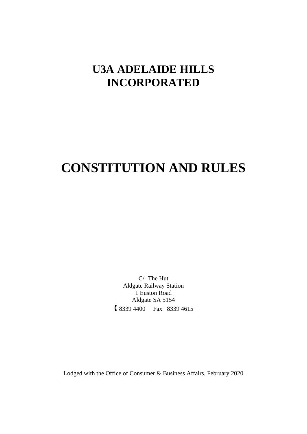# **U3A ADELAIDE HILLS INCORPORATED**

# **CONSTITUTION AND RULES**

C/- The Hut Aldgate Railway Station 1 Euston Road Aldgate SA 5154 8339 4400 Fax 8339 4615

Lodged with the Office of Consumer & Business Affairs, February 2020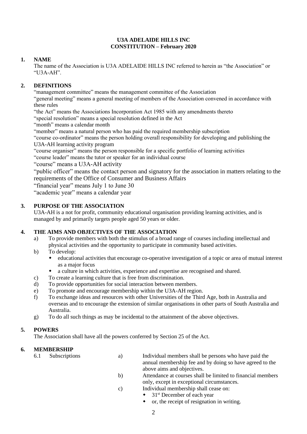#### **U3A ADELAIDE HILLS INC CONSTITUTION – February 2020**

# **1. NAME**

The name of the Association is U3A ADELAIDE HILLS INC referred to herein as "the Association" or "U3A-AH".

# **2. DEFINITIONS**

"management committee" means the management committee of the Association

"general meeting" means a general meeting of members of the Association convened in accordance with these rules

"the Act" means the Associations Incorporation Act 1985 with any amendments thereto

"special resolution" means a special resolution defined in the Act

"month" means a calendar month

"member" means a natural person who has paid the required membership subscription

"course co-ordinator" means the person holding overall responsibility for developing and publishing the U3A-AH learning activity program

"course organiser" means the person responsible for a specific portfolio of learning activities

"course leader" means the tutor or speaker for an individual course

"course" means a U3A-AH activity

"public officer" means the contact person and signatory for the association in matters relating to the requirements of the Office of Consumer and Business Affairs

"financial year" means July 1 to June 30

"academic year" means a calendar year

### **3. PURPOSE OF THE ASSOCIATION**

U3A-AH is a not for profit, community educational organisation providing learning activities, and is managed by and primarily targets people aged 50 years or older.

#### **4. THE AIMS AND OBJECTIVES OF THE ASSOCIATION**

- a) To provide members with both the stimulus of a broad range of courses including intellectual and physical activities and the opportunity to participate in community based activities.
- b) To develop:
	- educational activities that encourage co-operative investigation of a topic or area of mutual interest as a major focus
	- a culture in which activities, experience and expertise are recognised and shared.
- c) To create a learning culture that is free from discrimination.
- d) To provide opportunities for social interaction between members.
- e) To promote and encourage membership within the U3A-AH region.
- f) To exchange ideas and resources with other Universities of the Third Age, both in Australia and overseas and to encourage the extension of similar organisations in other parts of South Australia and Australia.
- g) To do all such things as may be incidental to the attainment of the above objectives.

#### **5. POWERS**

The Association shall have all the powers conferred by Section 25 of the Act.

#### **6. MEMBERSHIP**

- 6.1 Subscriptions a) Individual members shall be persons who have paid the annual membership fee and by doing so have agreed to the above aims and objectives.
	- b) Attendance at courses shall be limited to financial members only, except in exceptional circumstances.
	- c) Individual membership shall cease on:
		- $\bullet$  31<sup>st</sup> December of each year
			- or, the receipt of resignation in writing.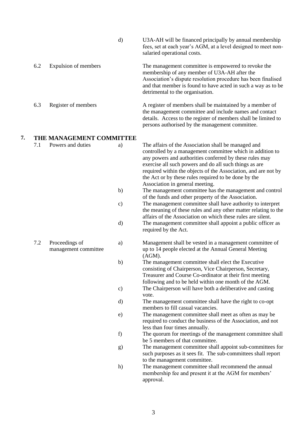- fees, set at each year's AGM, at a level designed to meet nonsalaried operational costs. 6.2 Expulsion of members The management committee is empowered to revoke the membership of any member of U3A-AH after the Association's dispute resolution procedure has been finalised and that member is found to have acted in such a way as to be detrimental to the organisation. 6.3 Register of members A register of members shall be maintained by a member of the management committee and include names and contact details. Access to the register of members shall be limited to persons authorised by the management committee. **7. THE MANAGEMENT COMMITTEE**  7.1 Powers and duties a) The affairs of the Association shall be managed and
	- exercise all such powers and do all such things as are required within the objects of the Association, and are not by the Act or by these rules required to be done by the Association in general meeting. b) The management committee has the management and control of the funds and other property of the Association. c) The management committee shall have authority to interpret the meaning of these rules and any other matter relating to the affairs of the Association on which these rules are silent. d) The management committee shall appoint a public officer as required by the Act. 7.2 Proceedings of management committee a) Management shall be vested in a management committee of up to 14 people elected at the Annual General Meeting (AGM). b) The management committee shall elect the Executive consisting of Chairperson, Vice Chairperson, Secretary,
		- Treasurer and Course Co-ordinator at their first meeting following and to be held within one month of the AGM. c) The Chairperson will have both a deliberative and casting vote.

d) U3A-AH will be financed principally by annual membership

controlled by a management committee which in addition to any powers and authorities conferred by these rules may

- d) The management committee shall have the right to co-opt members to fill casual vacancies.
- e) The management committee shall meet as often as may be required to conduct the business of the Association, and not less than four times annually.
- f) The quorum for meetings of the management committee shall be 5 members of that committee.
- g) The management committee shall appoint sub-committees for such purposes as it sees fit. The sub-committees shall report to the management committee.
- h) The management committee shall recommend the annual membership fee and present it at the AGM for members' approval.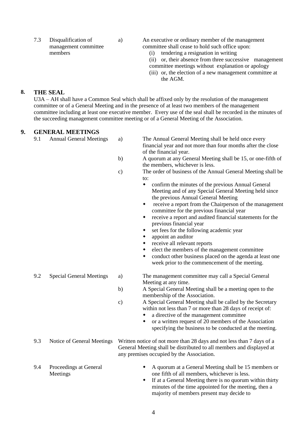| 8.<br><b>THE SEAL</b><br>U3A – AH shall have a Common Seal which shall be affixed only by the resolution of the management<br>committee or of a General Meeting and in the presence of at least two members of the management<br>the succeeding management committee meeting or of a General Meeting of the Association.<br>9.<br><b>GENERAL MEETINGS</b><br><b>Annual General Meetings</b><br>9.1<br>The Annual General Meeting shall be held once every<br>a)<br>of the financial year.<br>b)<br>the members, whichever is less.<br>$\mathbf{c})$<br>to:<br>confirm the minutes of the previous Annual General<br>$\blacklozenge$<br>the previous Annual General Meeting<br>receive a report from the Chairperson of the management<br>٠<br>committee for the previous financial year<br>receive a report and audited financial statements for the<br>٠<br>previous financial year<br>set fees for the following academic year<br>appoint an auditor<br>receive all relevant reports<br>elect the members of the management committee<br>٠<br>٠<br>week prior to the commencement of the meeting.<br>9.2<br><b>Special General Meetings</b><br>The management committee may call a Special General<br>a)<br>Meeting at any time.<br>A Special General Meeting shall be a meeting open to the<br>b)<br>membership of the Association.<br>A Special General Meeting shall be called by the Secretary<br>$\mathbf{c})$<br>within not less than 7 or more than 28 days of receipt of:<br>a directive of the management committee<br>or a written request of 20 members of the Association<br>٠<br>9.3<br>Notice of General Meetings<br>any premises occupied by the Association.<br>9.4<br>Proceedings at General<br>one fifth of all members, whichever is less.<br>Meetings<br>٠<br>majority of members present may decide to<br>4 |                                                                                                              |  |                                                                                                                                               | the AGM.                                                                                                          |  |
|------------------------------------------------------------------------------------------------------------------------------------------------------------------------------------------------------------------------------------------------------------------------------------------------------------------------------------------------------------------------------------------------------------------------------------------------------------------------------------------------------------------------------------------------------------------------------------------------------------------------------------------------------------------------------------------------------------------------------------------------------------------------------------------------------------------------------------------------------------------------------------------------------------------------------------------------------------------------------------------------------------------------------------------------------------------------------------------------------------------------------------------------------------------------------------------------------------------------------------------------------------------------------------------------------------------------------------------------------------------------------------------------------------------------------------------------------------------------------------------------------------------------------------------------------------------------------------------------------------------------------------------------------------------------------------------------------------------------------------------------------------------------------------------------------------------------------------|--------------------------------------------------------------------------------------------------------------|--|-----------------------------------------------------------------------------------------------------------------------------------------------|-------------------------------------------------------------------------------------------------------------------|--|
|                                                                                                                                                                                                                                                                                                                                                                                                                                                                                                                                                                                                                                                                                                                                                                                                                                                                                                                                                                                                                                                                                                                                                                                                                                                                                                                                                                                                                                                                                                                                                                                                                                                                                                                                                                                                                                    | committee including at least one executive member. Every use of the seal shall be recorded in the minutes of |  |                                                                                                                                               |                                                                                                                   |  |
|                                                                                                                                                                                                                                                                                                                                                                                                                                                                                                                                                                                                                                                                                                                                                                                                                                                                                                                                                                                                                                                                                                                                                                                                                                                                                                                                                                                                                                                                                                                                                                                                                                                                                                                                                                                                                                    |                                                                                                              |  |                                                                                                                                               |                                                                                                                   |  |
|                                                                                                                                                                                                                                                                                                                                                                                                                                                                                                                                                                                                                                                                                                                                                                                                                                                                                                                                                                                                                                                                                                                                                                                                                                                                                                                                                                                                                                                                                                                                                                                                                                                                                                                                                                                                                                    |                                                                                                              |  |                                                                                                                                               | financial year and not more than four months after the close                                                      |  |
|                                                                                                                                                                                                                                                                                                                                                                                                                                                                                                                                                                                                                                                                                                                                                                                                                                                                                                                                                                                                                                                                                                                                                                                                                                                                                                                                                                                                                                                                                                                                                                                                                                                                                                                                                                                                                                    |                                                                                                              |  |                                                                                                                                               | A quorum at any General Meeting shall be 15, or one-fifth of                                                      |  |
|                                                                                                                                                                                                                                                                                                                                                                                                                                                                                                                                                                                                                                                                                                                                                                                                                                                                                                                                                                                                                                                                                                                                                                                                                                                                                                                                                                                                                                                                                                                                                                                                                                                                                                                                                                                                                                    |                                                                                                              |  |                                                                                                                                               | The order of business of the Annual General Meeting shall be                                                      |  |
|                                                                                                                                                                                                                                                                                                                                                                                                                                                                                                                                                                                                                                                                                                                                                                                                                                                                                                                                                                                                                                                                                                                                                                                                                                                                                                                                                                                                                                                                                                                                                                                                                                                                                                                                                                                                                                    |                                                                                                              |  |                                                                                                                                               | Meeting and of any Special General Meeting held since                                                             |  |
|                                                                                                                                                                                                                                                                                                                                                                                                                                                                                                                                                                                                                                                                                                                                                                                                                                                                                                                                                                                                                                                                                                                                                                                                                                                                                                                                                                                                                                                                                                                                                                                                                                                                                                                                                                                                                                    |                                                                                                              |  |                                                                                                                                               |                                                                                                                   |  |
|                                                                                                                                                                                                                                                                                                                                                                                                                                                                                                                                                                                                                                                                                                                                                                                                                                                                                                                                                                                                                                                                                                                                                                                                                                                                                                                                                                                                                                                                                                                                                                                                                                                                                                                                                                                                                                    |                                                                                                              |  |                                                                                                                                               |                                                                                                                   |  |
|                                                                                                                                                                                                                                                                                                                                                                                                                                                                                                                                                                                                                                                                                                                                                                                                                                                                                                                                                                                                                                                                                                                                                                                                                                                                                                                                                                                                                                                                                                                                                                                                                                                                                                                                                                                                                                    |                                                                                                              |  |                                                                                                                                               |                                                                                                                   |  |
|                                                                                                                                                                                                                                                                                                                                                                                                                                                                                                                                                                                                                                                                                                                                                                                                                                                                                                                                                                                                                                                                                                                                                                                                                                                                                                                                                                                                                                                                                                                                                                                                                                                                                                                                                                                                                                    |                                                                                                              |  |                                                                                                                                               |                                                                                                                   |  |
|                                                                                                                                                                                                                                                                                                                                                                                                                                                                                                                                                                                                                                                                                                                                                                                                                                                                                                                                                                                                                                                                                                                                                                                                                                                                                                                                                                                                                                                                                                                                                                                                                                                                                                                                                                                                                                    |                                                                                                              |  |                                                                                                                                               | conduct other business placed on the agenda at least one                                                          |  |
|                                                                                                                                                                                                                                                                                                                                                                                                                                                                                                                                                                                                                                                                                                                                                                                                                                                                                                                                                                                                                                                                                                                                                                                                                                                                                                                                                                                                                                                                                                                                                                                                                                                                                                                                                                                                                                    |                                                                                                              |  |                                                                                                                                               |                                                                                                                   |  |
|                                                                                                                                                                                                                                                                                                                                                                                                                                                                                                                                                                                                                                                                                                                                                                                                                                                                                                                                                                                                                                                                                                                                                                                                                                                                                                                                                                                                                                                                                                                                                                                                                                                                                                                                                                                                                                    |                                                                                                              |  |                                                                                                                                               |                                                                                                                   |  |
|                                                                                                                                                                                                                                                                                                                                                                                                                                                                                                                                                                                                                                                                                                                                                                                                                                                                                                                                                                                                                                                                                                                                                                                                                                                                                                                                                                                                                                                                                                                                                                                                                                                                                                                                                                                                                                    |                                                                                                              |  |                                                                                                                                               |                                                                                                                   |  |
|                                                                                                                                                                                                                                                                                                                                                                                                                                                                                                                                                                                                                                                                                                                                                                                                                                                                                                                                                                                                                                                                                                                                                                                                                                                                                                                                                                                                                                                                                                                                                                                                                                                                                                                                                                                                                                    |                                                                                                              |  |                                                                                                                                               |                                                                                                                   |  |
|                                                                                                                                                                                                                                                                                                                                                                                                                                                                                                                                                                                                                                                                                                                                                                                                                                                                                                                                                                                                                                                                                                                                                                                                                                                                                                                                                                                                                                                                                                                                                                                                                                                                                                                                                                                                                                    |                                                                                                              |  |                                                                                                                                               | specifying the business to be conducted at the meeting.                                                           |  |
|                                                                                                                                                                                                                                                                                                                                                                                                                                                                                                                                                                                                                                                                                                                                                                                                                                                                                                                                                                                                                                                                                                                                                                                                                                                                                                                                                                                                                                                                                                                                                                                                                                                                                                                                                                                                                                    |                                                                                                              |  | Written notice of not more than 28 days and not less than 7 days of a<br>General Meeting shall be distributed to all members and displayed at |                                                                                                                   |  |
|                                                                                                                                                                                                                                                                                                                                                                                                                                                                                                                                                                                                                                                                                                                                                                                                                                                                                                                                                                                                                                                                                                                                                                                                                                                                                                                                                                                                                                                                                                                                                                                                                                                                                                                                                                                                                                    |                                                                                                              |  |                                                                                                                                               | A quorum at a General Meeting shall be 15 members or                                                              |  |
|                                                                                                                                                                                                                                                                                                                                                                                                                                                                                                                                                                                                                                                                                                                                                                                                                                                                                                                                                                                                                                                                                                                                                                                                                                                                                                                                                                                                                                                                                                                                                                                                                                                                                                                                                                                                                                    |                                                                                                              |  |                                                                                                                                               | If at a General Meeting there is no quorum within thirty<br>minutes of the time appointed for the meeting, then a |  |
|                                                                                                                                                                                                                                                                                                                                                                                                                                                                                                                                                                                                                                                                                                                                                                                                                                                                                                                                                                                                                                                                                                                                                                                                                                                                                                                                                                                                                                                                                                                                                                                                                                                                                                                                                                                                                                    |                                                                                                              |  |                                                                                                                                               |                                                                                                                   |  |
|                                                                                                                                                                                                                                                                                                                                                                                                                                                                                                                                                                                                                                                                                                                                                                                                                                                                                                                                                                                                                                                                                                                                                                                                                                                                                                                                                                                                                                                                                                                                                                                                                                                                                                                                                                                                                                    |                                                                                                              |  |                                                                                                                                               |                                                                                                                   |  |
|                                                                                                                                                                                                                                                                                                                                                                                                                                                                                                                                                                                                                                                                                                                                                                                                                                                                                                                                                                                                                                                                                                                                                                                                                                                                                                                                                                                                                                                                                                                                                                                                                                                                                                                                                                                                                                    |                                                                                                              |  |                                                                                                                                               |                                                                                                                   |  |

#### 7.3 Disqualification of management committee members

a) An executive or ordinary member of the management committee shall cease to hold such office upon:

(i) tendering a resignation in writing

(ii) or, their absence from three successive management committee meetings without explanation or apology

(iii) or, the election of a new management committee at

#### **8. THE SEAL**

#### **9. GENERAL MEETINGS**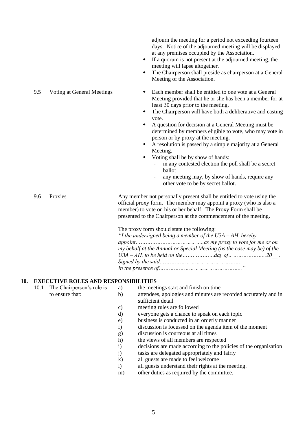adjourn the meeting for a period not exceeding fourteen days. Notice of the adjourned meeting will be displayed at any premises occupied by the Association.

- If a quorum is not present at the adjourned meeting, the meeting will lapse altogether.
- The Chairperson shall preside as chairperson at a General Meeting of the Association.
- 9.5 Voting at General Meetings  $\bullet$  Each member shall be entitled to one vote at a General Meeting provided that he or she has been a member for at least 30 days prior to the meeting.
	- The Chairperson will have both a deliberative and casting vote.
	- A question for decision at a General Meeting must be determined by members eligible to vote, who may vote in person or by proxy at the meeting.
	- A resolution is passed by a simple majority at a General Meeting.
	- Voting shall be by show of hands:
		- in any contested election the poll shall be a secret ballot
		- any meeting may, by show of hands, require any other vote to be by secret ballot.

9.6 Proxies Any member not personally present shall be entitled to vote using the official proxy form. The member may appoint a proxy (who is also a member) to vote on his or her behalf. The Proxy Form shall be presented to the Chairperson at the commencement of the meeting.

The proxy form should state the following:

*"I the undersigned being a member of the U3A – AH, hereby appoint…………………………………..as my proxy to vote for me or on my behalf at the Annual or Special Meeting (as the case may be) of the U3A – AH, to be held on the……………….day of…………………..20\_\_.. Signed by the said………………………………………… In the presence of………………………………………….."*

#### **10. EXECUTIVE ROLES AND RESPONSIBILITIES**

| 10.1 | The Chairperson's role is | a)           | the meetings start and finish on time                                                |
|------|---------------------------|--------------|--------------------------------------------------------------------------------------|
|      | to ensure that:           | b)           | attendees, apologies and minutes are recorded accurately and in<br>sufficient detail |
|      |                           | C)           | meeting rules are followed                                                           |
|      |                           | d)           | everyone gets a chance to speak on each topic                                        |
|      |                           | e)           | business is conducted in an orderly manner                                           |
|      |                           | f)           | discussion is focussed on the agenda item of the moment                              |
|      |                           | $\mathbf{g}$ | discussion is courteous at all times                                                 |
|      |                           | h)           | the views of all members are respected                                               |
|      |                           | 1)           | decisions are made according to the policies of the organisation                     |
|      |                           | J)           | tasks are delegated appropriately and fairly                                         |
|      |                           | $\bf k$      | all guests are made to feel welcome                                                  |
|      |                           |              |                                                                                      |

- l) all guests understand their rights at the meeting.
- m) other duties as required by the committee.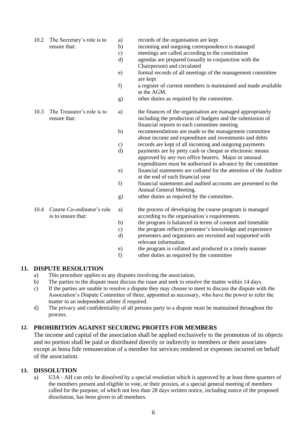10.3 The Treasurer's role is to ensure that:

- 10.2 The Secretary's role is to a) records of the organisation are kept
	- ensure that: b) incoming and outgoing correspondence is managed
		- c) meetings are called according to the constitution
		- d) agendas are prepared (usually in conjunction with the Chairperson) and circulated
		- e) formal records of all meetings of the management committee are kept
		- f) a register of current members is maintained and made available at the AGM.
		- g) other duties as required by the committee.
		- a) the finances of the organisation are managed appropriately including the production of budgets and the submission of financial reports to each committee meeting
		- b) recommendations are made to the management committee about income and expenditure and investments and debts
		- c) records are kept of all incoming and outgoing payments d) payments are by petty cash or cheque or electronic means approved by any two office bearers. Major or unusual
		- expenditures must be authorised in advance by the committee e) financial statements are collated for the attention of the Auditor
			- at the end of each financial year
		- f) financial statements and audited accounts are presented to the Annual General Meeting.
		- g) other duties as required by the committee.
			- the process of developing the course program is managed according to the organisation's requirements.
		- b) the program is balanced in terms of content and timetable
		- c) the program reflects presenter's knowledge and experience
		- d) presenters and organisers are recruited and supported with relevant information
		- e) the program is collated and produced in a timely manner
		- f) other duties as required by the committee

# **11. DISPUTE RESOLUTION**

a) This procedure applies to any disputes involving the association.

a)

- b) The parties to the dispute must discuss the issue and seek to resolve the matter within 14 days.
- c) If the parties are unable to resolve a dispute they may choose to meet to discuss the dispute with the Association's Dispute Committee of three, appointed as necessary, who have the power to refer the matter to an independent arbiter if required.
- d) The privacy and confidentiality of all persons party to a dispute must be maintained throughout the process.

# **12. PROHIBITION AGAINST SECURING PROFITS FOR MEMBERS**

The income and capital of the association shall be applied exclusively to the promotion of its objects and no portion shall be paid or distributed directly or indirectly to members or their associates except as bona fide remuneration of a member for services rendered or expenses incurred on behalf of the association.

### **13. DISSOLUTION**

a) U3A - AH can only be dissolved by a special resolution which is approved by at least three quarters of the members present and eligible to vote, or their proxies, at a special general meeting of members called for the purpose, of which not less than 28 days written notice, including notice of the proposed dissolution, has been given to all members.

10.4 Course Co-ordinator's role is to ensure that: